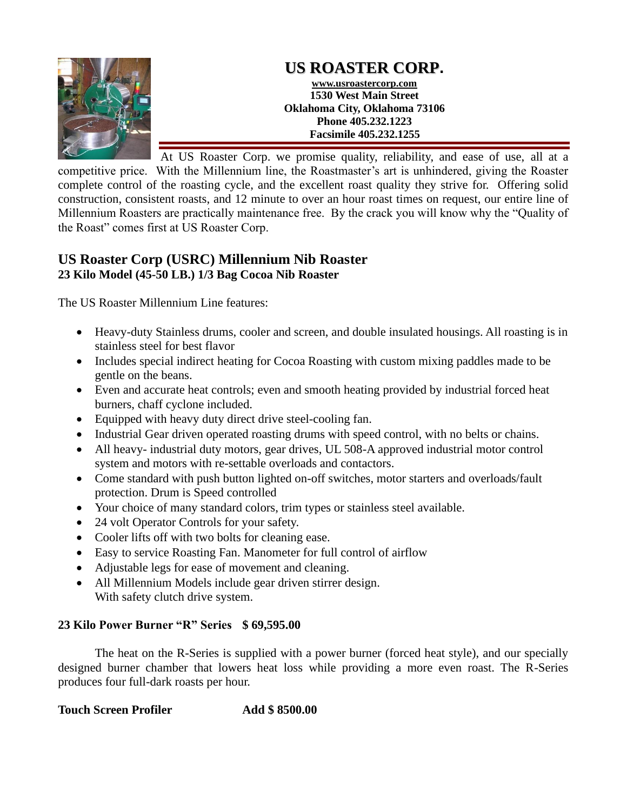

## **US ROASTER CORP. www.usroastercorp.com 1530 West Main Street Oklahoma City, Oklahoma 73106 Phone 405.232.1223 Facsimile 405.232.1255**

At US Roaster Corp. we promise quality, reliability, and ease of use, all at a competitive price. With the Millennium line, the Roastmaster's art is unhindered, giving the Roaster complete control of the roasting cycle, and the excellent roast quality they strive for. Offering solid construction, consistent roasts, and 12 minute to over an hour roast times on request, our entire line of Millennium Roasters are practically maintenance free. By the crack you will know why the "Quality of the Roast" comes first at US Roaster Corp.

## **US Roaster Corp (USRC) Millennium Nib Roaster 23 Kilo Model (45-50 LB.) 1/3 Bag Cocoa Nib Roaster**

The US Roaster Millennium Line features:

- Heavy-duty Stainless drums, cooler and screen, and double insulated housings. All roasting is in stainless steel for best flavor
- Includes special indirect heating for Cocoa Roasting with custom mixing paddles made to be gentle on the beans.
- Even and accurate heat controls; even and smooth heating provided by industrial forced heat burners, chaff cyclone included.
- Equipped with heavy duty direct drive steel-cooling fan.
- Industrial Gear driven operated roasting drums with speed control, with no belts or chains.
- All heavy- industrial duty motors, gear drives, UL 508-A approved industrial motor control system and motors with re-settable overloads and contactors.
- Come standard with push button lighted on-off switches, motor starters and overloads/fault protection. Drum is Speed controlled
- Your choice of many standard colors, trim types or stainless steel available.
- 24 volt Operator Controls for your safety.
- Cooler lifts off with two bolts for cleaning ease.
- Easy to service Roasting Fan. Manometer for full control of airflow
- Adjustable legs for ease of movement and cleaning.
- All Millennium Models include gear driven stirrer design. With safety clutch drive system.

## **23 Kilo Power Burner "R" Series \$ 69,595.00**

The heat on the R-Series is supplied with a power burner (forced heat style), and our specially designed burner chamber that lowers heat loss while providing a more even roast. The R-Series produces four full-dark roasts per hour.

**Touch Screen Profiler Add \$ 8500.00**